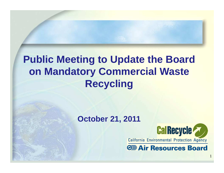## **Public Meeting to Update the Board on Mandatory Commercial Waste Recycling**

#### **October 21, 2011**



1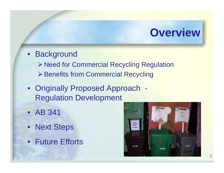# **Overview**

#### • Background

- ▶ Need for Commercial Recycling Regulation
- ▶ Benefits from Commercial Recycling
- Originally Proposed Approach -Regulation Development
- AB 341
- Next Steps
- Future Efforts

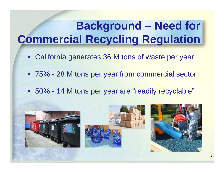# **Background – Need for Commercial Recycling Regulation**

- California generates 36 M tons of waste per year
- 75% 28 M tons per year from commercial sector
- 50% 14 M tons per year are "readily recyclable"

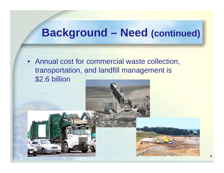# **Background – Need (continued)**

• Annual cost for commercial waste collection, transportation, and landfill management is \$2.6 billion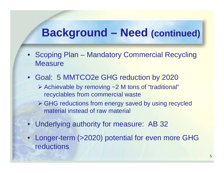## **Background – Need (continued)**

- Scoping Plan Mandatory Commercial Recycling **Measure**
- Goal: 5 MMTCO2e GHG reduction by 2020
	- Achievable by removing ~2 M tons of "traditional" recyclables from commercial waste
	- GHG reductions from energy saved by using recycled<br>metariol instead of row material material instead of raw material
- Underlying authority for measure: AB 32
- Longer-term (>2020) potential for even more GHG reductions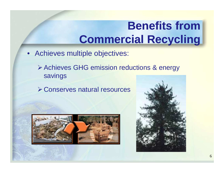# **Benefits from Commercial Recycling**

- Achieves multiple objectives:
	- Achieves GHG emission reductions & energy savings
	- Conserves natural resources



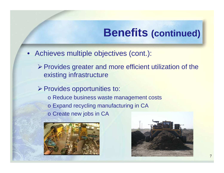#### **Benefits (continued)**

- Achieves multiple objectives (cont.):
	- $\triangleright$  Provides greater and more efficient utilization of the existing infrastructure
	- Provides opportunities to:o Reduce business waste management costs o Expand recycling manufacturing in CAo Create new jobs in CA



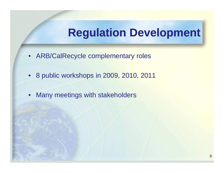## **Regulation Development**

- ARB/CalRecycle complementary roles
- 8 public workshops in 2009, 2010, 2011
- •Many meetings with stakeholders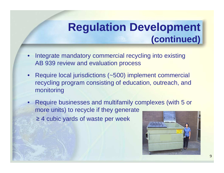#### **Regulation Development (continued)**

- • Integrate mandatory commercial recycling into existing AB 939 review and evaluation process
- • Require local jurisdictions (~500) implement commercial recycling program consisting of education, outreach, and monitoring
- • Require businesses and multifamily complexes (with 5 or more units) to recycle if they generate
	- ≥ 4 cubic yards of waste per week

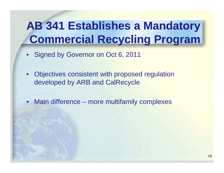# **AB 341 Establishes a Mandatory Commercial Recycling Program**

- Signed by Governor on Oct 6, 2011
- Objectives consistent with proposed regulation developed by ARB and CalRecycle
- $\bullet$ Main difference – more multifamily complexes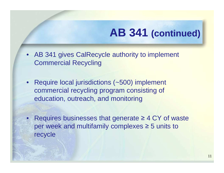# **AB 341 (continued)**

- AB 341 gives CalRecycle authority to implement Commercial Recycling
- Require local jurisdictions (~500) implement commercial recycling program consisting of education, outreach, and monitoring
- Requires businesses that generate ≥ 4 CY of waste per week and multifamily complexes ≥ 5 units to recycle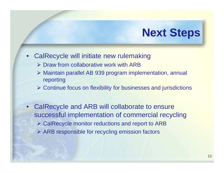# **Next Steps**

#### $\bullet$ CalRecycle will initiate new rulemaking

- > Draw from collaborative work with ARB
- Maintain parallel AB 939 program implementation, annual reporting
- Continue focus on flexibility for businesses and jurisdictions
- CalRecycle and ARB will collaborate to ensure successful implementation of commercial recycling> CalRecycle monitor reductions and report to ARB ARB responsible for recycling emission factors